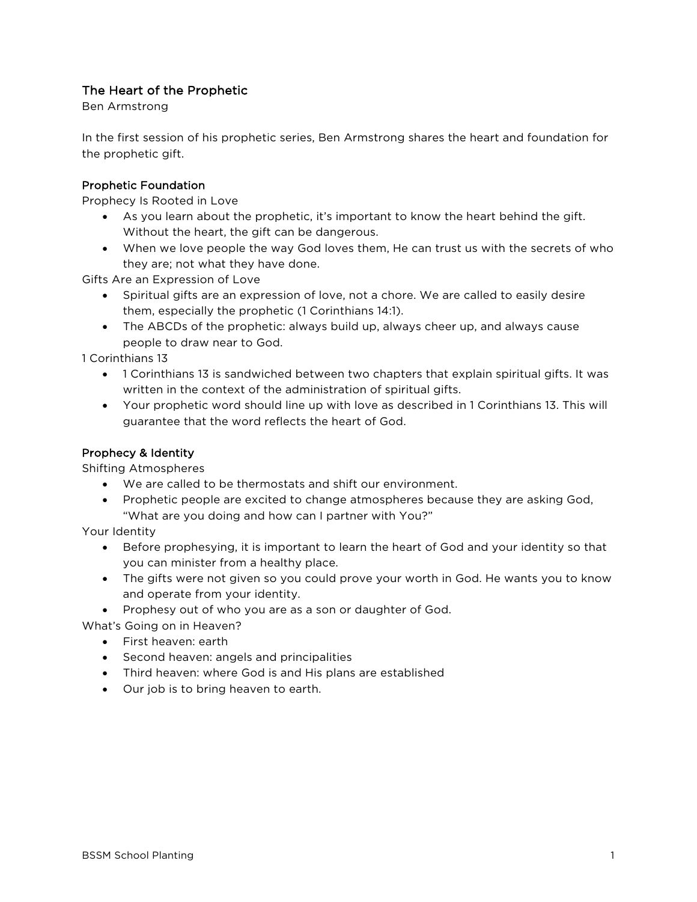## The Heart of the Prophetic

Ben Armstrong

In the first session of his prophetic series, Ben Armstrong shares the heart and foundation for the prophetic gift.

## Prophetic Foundation

Prophecy Is Rooted in Love

- As you learn about the prophetic, it's important to know the heart behind the gift. Without the heart, the gift can be dangerous.
- When we love people the way God loves them, He can trust us with the secrets of who they are; not what they have done.

Gifts Are an Expression of Love

- Spiritual gifts are an expression of love, not a chore. We are called to easily desire them, especially the prophetic (1 Corinthians 14:1).
- The ABCDs of the prophetic: always build up, always cheer up, and always cause people to draw near to God.

1 Corinthians 13

- 1 Corinthians 13 is sandwiched between two chapters that explain spiritual gifts. It was written in the context of the administration of spiritual gifts.
- Your prophetic word should line up with love as described in 1 Corinthians 13. This will guarantee that the word reflects the heart of God.

## Prophecy & Identity

Shifting Atmospheres

- We are called to be thermostats and shift our environment.
- Prophetic people are excited to change atmospheres because they are asking God, "What are you doing and how can I partner with You?"

Your Identity

- Before prophesying, it is important to learn the heart of God and your identity so that you can minister from a healthy place.
- The gifts were not given so you could prove your worth in God. He wants you to know and operate from your identity.
- Prophesy out of who you are as a son or daughter of God.

What's Going on in Heaven?

- First heaven: earth
- Second heaven: angels and principalities
- Third heaven: where God is and His plans are established
- Our job is to bring heaven to earth.